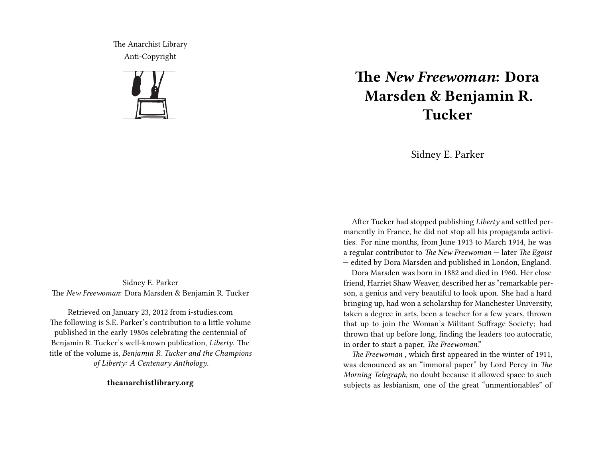The Anarchist Library Anti-Copyright



Sidney E. Parker The *New Freewoman*: Dora Marsden & Benjamin R. Tucker

Retrieved on January 23, 2012 from i-studies.com The following is S.E. Parker's contribution to a little volume published in the early 1980s celebrating the centennial of Benjamin R. Tucker's well-known publication, *Liberty*. The title of the volume is, *Benjamin R. Tucker and the Champions of Liberty: A Centenary Anthology*.

**theanarchistlibrary.org**

## **The** *New Freewoman***: Dora Marsden & Benjamin R. Tucker**

Sidney E. Parker

After Tucker had stopped publishing *Liberty* and settled permanently in France, he did not stop all his propaganda activities. For nine months, from June 1913 to March 1914, he was a regular contributor to *The New Freewoman* — later *The Egoist* — edited by Dora Marsden and published in London, England.

Dora Marsden was born in 1882 and died in 1960. Her close friend, Harriet Shaw Weaver, described her as "remarkable person, a genius and very beautiful to look upon. She had a hard bringing up, had won a scholarship for Manchester University, taken a degree in arts, been a teacher for a few years, thrown that up to join the Woman's Militant Suffrage Society; had thrown that up before long, finding the leaders too autocratic, in order to start a paper, *The Freewoman*."

*The Freewoman* , which first appeared in the winter of 1911, was denounced as an "immoral paper" by Lord Percy in *The Morning Telegraph*, no doubt because it allowed space to such subjects as lesbianism, one of the great "unmentionables" of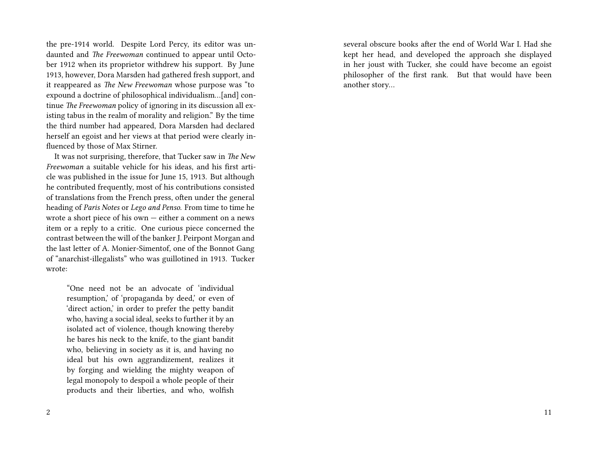the pre-1914 world. Despite Lord Percy, its editor was undaunted and *The Freewoman* continued to appear until October 1912 when its proprietor withdrew his support. By June 1913, however, Dora Marsden had gathered fresh support, and it reappeared as *The New Freewoman* whose purpose was "to expound a doctrine of philosophical individualism…[and] continue *The Freewoman* policy of ignoring in its discussion all existing tabus in the realm of morality and religion." By the time the third number had appeared, Dora Marsden had declared herself an egoist and her views at that period were clearly influenced by those of Max Stirner.

It was not surprising, therefore, that Tucker saw in *The New Freewoman* a suitable vehicle for his ideas, and his first article was published in the issue for June 15, 1913. But although he contributed frequently, most of his contributions consisted of translations from the French press, often under the general heading of *Paris Notes* or *Lego and Penso*. From time to time he wrote a short piece of his own — either a comment on a news item or a reply to a critic. One curious piece concerned the contrast between the will of the banker J. Peirpont Morgan and the last letter of A. Monier-Simentof, one of the Bonnot Gang of "anarchist-illegalists" who was guillotined in 1913. Tucker wrote:

"One need not be an advocate of 'individual resumption,' of 'propaganda by deed,' or even of 'direct action,' in order to prefer the petty bandit who, having a social ideal, seeks to further it by an isolated act of violence, though knowing thereby he bares his neck to the knife, to the giant bandit who, believing in society as it is, and having no ideal but his own aggrandizement, realizes it by forging and wielding the mighty weapon of legal monopoly to despoil a whole people of their products and their liberties, and who, wolfish several obscure books after the end of World War I. Had she kept her head, and developed the approach she displayed in her joust with Tucker, she could have become an egoist philosopher of the first rank. But that would have been another story…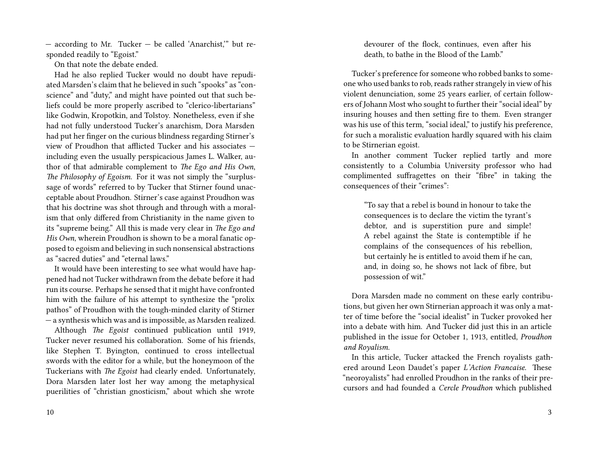— according to Mr. Tucker — be called 'Anarchist,'" but responded readily to "Egoist."

On that note the debate ended.

Had he also replied Tucker would no doubt have repudiated Marsden's claim that he believed in such "spooks" as "conscience" and "duty," and might have pointed out that such beliefs could be more properly ascribed to "clerico-libertarians" like Godwin, Kropotkin, and Tolstoy. Nonetheless, even if she had not fully understood Tucker's anarchism, Dora Marsden had put her finger on the curious blindness regarding Stirner's view of Proudhon that afflicted Tucker and his associates including even the usually perspicacious James L. Walker, author of that admirable complement to *The Ego and His Own*, *The Philosophy of Egoism*. For it was not simply the "surplussage of words" referred to by Tucker that Stirner found unacceptable about Proudhon. Stirner's case against Proudhon was that his doctrine was shot through and through with a moralism that only differed from Christianity in the name given to its "supreme being." All this is made very clear in *The Ego and His Own*, wherein Proudhon is shown to be a moral fanatic opposed to egoism and believing in such nonsensical abstractions as "sacred duties" and "eternal laws."

It would have been interesting to see what would have happened had not Tucker withdrawn from the debate before it had run its course. Perhaps he sensed that it might have confronted him with the failure of his attempt to synthesize the "prolix pathos" of Proudhon with the tough-minded clarity of Stirner — a synthesis which was and is impossible, as Marsden realized.

Although *The Egoist* continued publication until 1919, Tucker never resumed his collaboration. Some of his friends, like Stephen T. Byington, continued to cross intellectual swords with the editor for a while, but the honeymoon of the Tuckerians with *The Egoist* had clearly ended. Unfortunately, Dora Marsden later lost her way among the metaphysical puerilities of "christian gnosticism," about which she wrote

devourer of the flock, continues, even after his death, to bathe in the Blood of the Lamb."

Tucker's preference for someone who robbed banks to someone who used banks to rob, reads rather strangely in view of his violent denunciation, some 25 years earlier, of certain followers of Johann Most who sought to further their "social ideal" by insuring houses and then setting fire to them. Even stranger was his use of this term, "social ideal," to justify his preference, for such a moralistic evaluation hardly squared with his claim to be Stirnerian egoist.

In another comment Tucker replied tartly and more consistently to a Columbia University professor who had complimented suffragettes on their "fibre" in taking the consequences of their "crimes":

"To say that a rebel is bound in honour to take the consequences is to declare the victim the tyrant's debtor, and is superstition pure and simple! A rebel against the State is contemptible if he complains of the consequences of his rebellion, but certainly he is entitled to avoid them if he can, and, in doing so, he shows not lack of fibre, but possession of wit."

Dora Marsden made no comment on these early contributions, but given her own Stirnerian approach it was only a matter of time before the "social idealist" in Tucker provoked her into a debate with him. And Tucker did just this in an article published in the issue for October 1, 1913, entitled, *Proudhon and Royalism*.

In this article, Tucker attacked the French royalists gathered around Leon Daudet's paper *L'Action Francaise*. These "neoroyalists" had enrolled Proudhon in the ranks of their precursors and had founded a *Cercle Proudhon* which published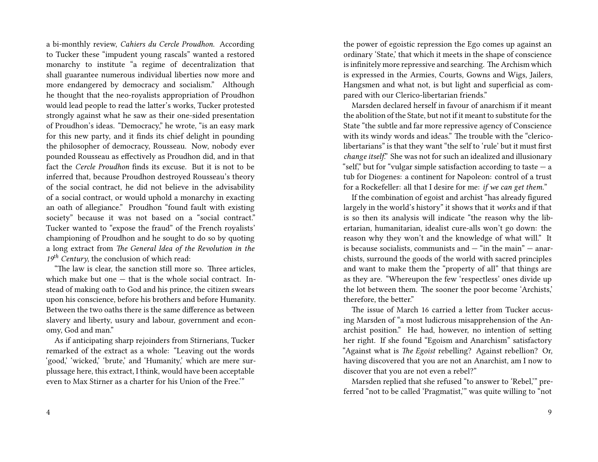a bi-monthly review, *Cahiers du Cercle Proudhon*. According to Tucker these "impudent young rascals" wanted a restored monarchy to institute "a regime of decentralization that shall guarantee numerous individual liberties now more and more endangered by democracy and socialism." Although he thought that the neo-royalists appropriation of Proudhon would lead people to read the latter's works, Tucker protested strongly against what he saw as their one-sided presentation of Proudhon's ideas. "Democracy," he wrote, "is an easy mark for this new party, and it finds its chief delight in pounding the philosopher of democracy, Rousseau. Now, nobody ever pounded Rousseau as effectively as Proudhon did, and in that fact the *Cercle Proudhon* finds its excuse. But it is not to be inferred that, because Proudhon destroyed Rousseau's theory of the social contract, he did not believe in the advisability of a social contract, or would uphold a monarchy in exacting an oath of allegiance." Proudhon "found fault with existing society" because it was not based on a "social contract." Tucker wanted to "expose the fraud" of the French royalists' championing of Proudhon and he sought to do so by quoting a long extract from *The General Idea of the Revolution in the 19th Century*, the conclusion of which read:

"The law is clear, the sanction still more so. Three articles, which make but one  $-$  that is the whole social contract. Instead of making oath to God and his prince, the citizen swears upon his conscience, before his brothers and before Humanity. Between the two oaths there is the same difference as between slavery and liberty, usury and labour, government and economy, God and man."

As if anticipating sharp rejoinders from Stirnerians, Tucker remarked of the extract as a whole: "Leaving out the words 'good,' 'wicked,' 'brute,' and 'Humanity,' which are mere surplussage here, this extract, I think, would have been acceptable even to Max Stirner as a charter for his Union of the Free.'"

the power of egoistic repression the Ego comes up against an ordinary 'State,' that which it meets in the shape of conscience is infinitely more repressive and searching. The Archism which is expressed in the Armies, Courts, Gowns and Wigs, Jailers, Hangsmen and what not, is but light and superficial as compared with our Clerico-libertarian friends."

Marsden declared herself in favour of anarchism if it meant the abolition of the State, but not if it meant to substitute for the State "the subtle and far more repressive agency of Conscience with its windy words and ideas." The trouble with the "clericolibertarians" is that they want "the self to 'rule' but it must first *change itself*." She was not for such an idealized and illusionary "self," but for "vulgar simple satisfaction according to taste  $-$  a tub for Diogenes: a continent for Napoleon: control of a trust for a Rockefeller: all that I desire for me: *if we can get them.*"

If the combination of egoist and archist "has already figured largely in the world's history" it shows that it *works* and if that is so then its analysis will indicate "the reason why the libertarian, humanitarian, idealist cure-alls won't go down: the reason why they won't and the knowledge of what will." It is because socialists, communists and  $-$  "in the main"  $-$  anarchists, surround the goods of the world with sacred principles and want to make them the "property of all" that things are as they are. "Whereupon the few 'respectless' ones divide up the lot between them. The sooner the poor become 'Archists,' therefore, the better."

The issue of March 16 carried a letter from Tucker accusing Marsden of "a most ludicrous misapprehension of the Anarchist position." He had, however, no intention of setting her right. If she found "Egoism and Anarchism" satisfactory "Against what is *The Egoist* rebelling? Against rebellion? Or, having discovered that you are not an Anarchist, am I now to discover that you are not even a rebel?"

Marsden replied that she refused "to answer to 'Rebel,'" preferred "not to be called 'Pragmatist,'" was quite willing to "not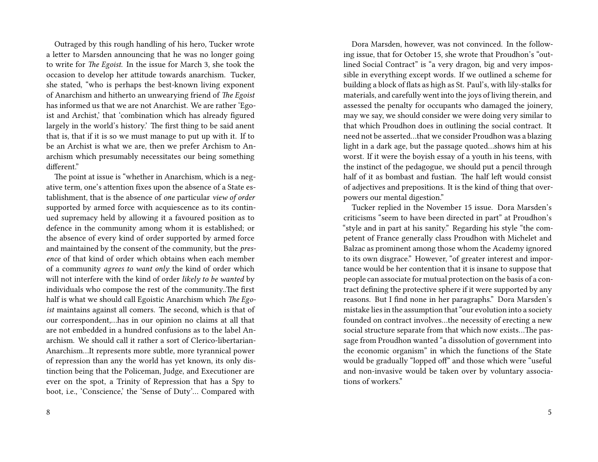Outraged by this rough handling of his hero, Tucker wrote a letter to Marsden announcing that he was no longer going to write for *The Egoist*. In the issue for March 3, she took the occasion to develop her attitude towards anarchism. Tucker, she stated, "who is perhaps the best-known living exponent of Anarchism and hitherto an unwearying friend of *The Egoist* has informed us that we are not Anarchist. We are rather 'Egoist and Archist,' that 'combination which has already figured largely in the world's history.' The first thing to be said anent that is, that if it is so we must manage to put up with it. If to be an Archist is what we are, then we prefer Archism to Anarchism which presumably necessitates our being something different."

The point at issue is "whether in Anarchism, which is a negative term, one's attention fixes upon the absence of a State establishment, that is the absence of *one* particular *view of order* supported by armed force with acquiescence as to its continued supremacy held by allowing it a favoured position as to defence in the community among whom it is established; or the absence of every kind of order supported by armed force and maintained by the consent of the community, but the *presence* of that kind of order which obtains when each member of a community *agrees to want only* the kind of order which will not interfere with the kind of order *likely to be wanted* by individuals who compose the rest of the community..The first half is what we should call Egoistic Anarchism which *The Egoist* maintains against all comers. The second, which is that of our correspondent,…has in our opinion no claims at all that are not embedded in a hundred confusions as to the label Anarchism. We should call it rather a sort of Clerico-libertarian-Anarchism…It represents more subtle, more tyrannical power of repression than any the world has yet known, its only distinction being that the Policeman, Judge, and Executioner are ever on the spot, a Trinity of Repression that has a Spy to boot, i.e., 'Conscience,' the 'Sense of Duty'… Compared with

Dora Marsden, however, was not convinced. In the following issue, that for October 15, she wrote that Proudhon's "outlined Social Contract" is "a very dragon, big and very impossible in everything except words. If we outlined a scheme for building a block of flats as high as St. Paul's, with lily-stalks for materials, and carefully went into the joys of living therein, and assessed the penalty for occupants who damaged the joinery, may we say, we should consider we were doing very similar to that which Proudhon does in outlining the social contract. It need not be asserted…that we consider Proudhon was a blazing light in a dark age, but the passage quoted…shows him at his worst. If it were the boyish essay of a youth in his teens, with the instinct of the pedagogue, we should put a pencil through half of it as bombast and fustian. The half left would consist of adjectives and prepositions. It is the kind of thing that overpowers our mental digestion."

Tucker replied in the November 15 issue. Dora Marsden's criticisms "seem to have been directed in part" at Proudhon's "style and in part at his sanity." Regarding his style "the competent of France generally class Proudhon with Michelet and Balzac as prominent among those whom the Academy ignored to its own disgrace." However, "of greater interest and importance would be her contention that it is insane to suppose that people can associate for mutual protection on the basis of a contract defining the protective sphere if it were supported by any reasons. But I find none in her paragraphs." Dora Marsden's mistake lies in the assumption that "our evolution into a society founded on contract involves…the necessity of erecting a new social structure separate from that which now exists…The passage from Proudhon wanted "a dissolution of government into the economic organism" in which the functions of the State would be gradually "lopped of" and those which were "useful and non-invasive would be taken over by voluntary associations of workers."